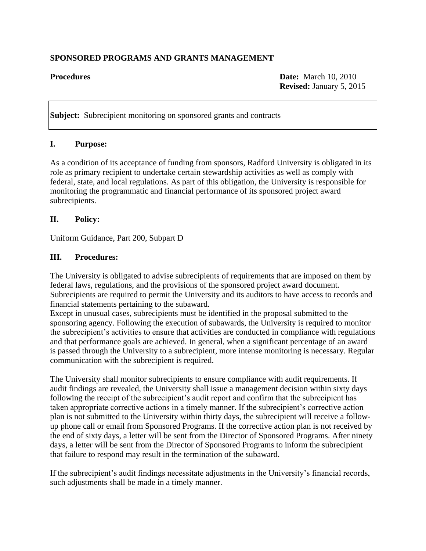## **SPONSORED PROGRAMS AND GRANTS MANAGEMENT**

**Procedures Date:** March 10, 2010 **Revised:** January 5, 2015

**Subject:** Subrecipient monitoring on sponsored grants and contracts

#### **I. Purpose:**

As a condition of its acceptance of funding from sponsors, Radford University is obligated in its role as primary recipient to undertake certain stewardship activities as well as comply with federal, state, and local regulations. As part of this obligation, the University is responsible for monitoring the programmatic and financial performance of its sponsored project award subrecipients.

#### **II. Policy:**

Uniform Guidance, Part 200, Subpart D

#### **III. Procedures:**

The University is obligated to advise subrecipients of requirements that are imposed on them by federal laws, regulations, and the provisions of the sponsored project award document. Subrecipients are required to permit the University and its auditors to have access to records and financial statements pertaining to the subaward.

Except in unusual cases, subrecipients must be identified in the proposal submitted to the sponsoring agency. Following the execution of subawards, the University is required to monitor the subrecipient's activities to ensure that activities are conducted in compliance with regulations and that performance goals are achieved. In general, when a significant percentage of an award is passed through the University to a subrecipient, more intense monitoring is necessary. Regular communication with the subrecipient is required.

The University shall monitor subrecipients to ensure compliance with audit requirements. If audit findings are revealed, the University shall issue a management decision within sixty days following the receipt of the subrecipient's audit report and confirm that the subrecipient has taken appropriate corrective actions in a timely manner. If the subrecipient's corrective action plan is not submitted to the University within thirty days, the subrecipient will receive a followup phone call or email from Sponsored Programs. If the corrective action plan is not received by the end of sixty days, a letter will be sent from the Director of Sponsored Programs. After ninety days, a letter will be sent from the Director of Sponsored Programs to inform the subrecipient that failure to respond may result in the termination of the subaward.

If the subrecipient's audit findings necessitate adjustments in the University's financial records, such adjustments shall be made in a timely manner.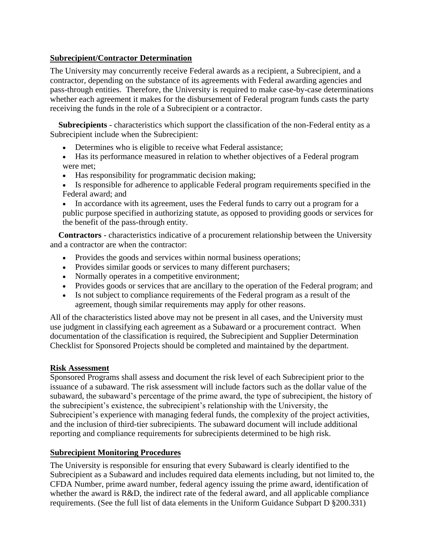### **Subrecipient/Contractor Determination**

The University may concurrently receive Federal awards as a recipient, a Subrecipient, and a contractor, depending on the substance of its agreements with Federal awarding agencies and pass-through entities. Therefore, the University is required to make case-by-case determinations whether each agreement it makes for the disbursement of Federal program funds casts the party receiving the funds in the role of a Subrecipient or a contractor.

 **Subrecipients** - characteristics which support the classification of the non-Federal entity as a Subrecipient include when the Subrecipient:

- Determines who is eligible to receive what Federal assistance;
- Has its performance measured in relation to whether objectives of a Federal program were met;
- Has responsibility for programmatic decision making;
- Is responsible for adherence to applicable Federal program requirements specified in the Federal award; and

• In accordance with its agreement, uses the Federal funds to carry out a program for a public purpose specified in authorizing statute, as opposed to providing goods or services for the benefit of the pass-through entity.

 **Contractors** - characteristics indicative of a procurement relationship between the University and a contractor are when the contractor:

- Provides the goods and services within normal business operations;
- Provides similar goods or services to many different purchasers;
- Normally operates in a competitive environment;
- Provides goods or services that are ancillary to the operation of the Federal program; and
- Is not subject to compliance requirements of the Federal program as a result of the agreement, though similar requirements may apply for other reasons.

All of the characteristics listed above may not be present in all cases, and the University must use judgment in classifying each agreement as a Subaward or a procurement contract. When documentation of the classification is required, the Subrecipient and Supplier Determination Checklist for Sponsored Projects should be completed and maintained by the department.

#### **Risk Assessment**

Sponsored Programs shall assess and document the risk level of each Subrecipient prior to the issuance of a subaward. The risk assessment will include factors such as the dollar value of the subaward, the subaward's percentage of the prime award, the type of subrecipient, the history of the subrecipient's existence, the subrecipient's relationship with the University, the Subrecipient's experience with managing federal funds, the complexity of the project activities, and the inclusion of third-tier subrecipients. The subaward document will include additional reporting and compliance requirements for subrecipients determined to be high risk.

## **Subrecipient Monitoring Procedures**

The University is responsible for ensuring that every Subaward is clearly identified to the Subrecipient as a Subaward and includes required data elements including, but not limited to, the CFDA Number, prime award number, federal agency issuing the prime award, identification of whether the award is R&D, the indirect rate of the federal award, and all applicable compliance requirements. (See the full list of data elements in the Uniform Guidance Subpart D §200.331)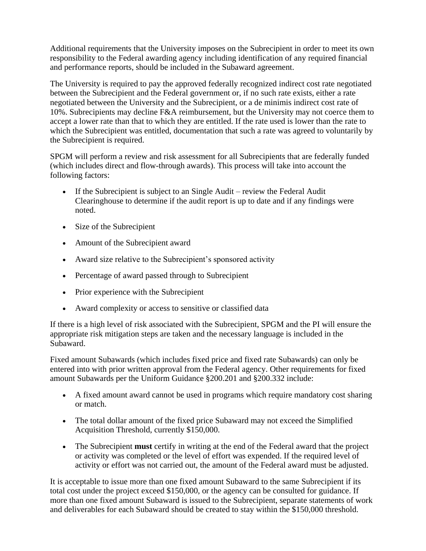Additional requirements that the University imposes on the Subrecipient in order to meet its own responsibility to the Federal awarding agency including identification of any required financial and performance reports, should be included in the Subaward agreement.

The University is required to pay the approved federally recognized indirect cost rate negotiated between the Subrecipient and the Federal government or, if no such rate exists, either a rate negotiated between the University and the Subrecipient, or a de minimis indirect cost rate of 10%. Subrecipients may decline F&A reimbursement, but the University may not coerce them to accept a lower rate than that to which they are entitled. If the rate used is lower than the rate to which the Subrecipient was entitled, documentation that such a rate was agreed to voluntarily by the Subrecipient is required.

SPGM will perform a review and risk assessment for all Subrecipients that are federally funded (which includes direct and flow-through awards). This process will take into account the following factors:

- If the Subrecipient is subject to an Single Audit review the Federal Audit Clearinghouse to determine if the audit report is up to date and if any findings were noted.
- Size of the Subrecipient
- Amount of the Subrecipient award
- Award size relative to the Subrecipient's sponsored activity
- Percentage of award passed through to Subrecipient
- Prior experience with the Subrecipient
- Award complexity or access to sensitive or classified data

If there is a high level of risk associated with the Subrecipient, SPGM and the PI will ensure the appropriate risk mitigation steps are taken and the necessary language is included in the Subaward.

Fixed amount Subawards (which includes fixed price and fixed rate Subawards) can only be entered into with prior written approval from the Federal agency. Other requirements for fixed amount Subawards per the Uniform Guidance §200.201 and §200.332 include:

- A fixed amount award cannot be used in programs which require mandatory cost sharing or match.
- The total dollar amount of the fixed price Subaward may not exceed the Simplified Acquisition Threshold, currently \$150,000.
- The Subrecipient **must** certify in writing at the end of the Federal award that the project or activity was completed or the level of effort was expended. If the required level of activity or effort was not carried out, the amount of the Federal award must be adjusted.

It is acceptable to issue more than one fixed amount Subaward to the same Subrecipient if its total cost under the project exceed \$150,000, or the agency can be consulted for guidance. If more than one fixed amount Subaward is issued to the Subrecipient, separate statements of work and deliverables for each Subaward should be created to stay within the \$150,000 threshold.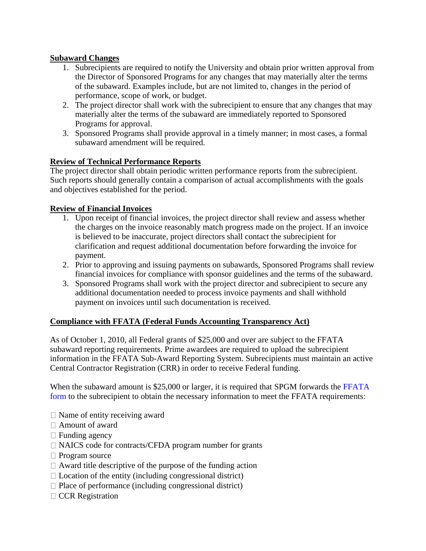# **Subaward Changes**

- 1. Subrecipients are required to notify the University and obtain prior written approval from the Director of Sponsored Programs for any changes that may materially alter the terms of the subaward. Examples include, but are not limited to, changes in the period of performance, scope of work, or budget.
- 2. The project director shall work with the subrecipient to ensure that any changes that may materially alter the terms of the subaward are immediately reported to Sponsored Programs for approval.
- 3. Sponsored Programs shall provide approval in a timely manner; in most cases, a formal subaward amendment will be required.

## **Review of Technical Performance Reports**

The project director shall obtain periodic written performance reports from the subrecipient. Such reports should generally contain a comparison of actual accomplishments with the goals and objectives established for the period.

## **Review of Financial Invoices**

- 1. Upon receipt of financial invoices, the project director shall review and assess whether the charges on the invoice reasonably match progress made on the project. If an invoice is believed to be inaccurate, project directors shall contact the subrecipient for clarification and request additional documentation before forwarding the invoice for payment.
- 2. Prior to approving and issuing payments on subawards, Sponsored Programs shall review financial invoices for compliance with sponsor guidelines and the terms of the subaward.
- 3. Sponsored Programs shall work with the project director and subrecipient to secure any additional documentation needed to process invoice payments and shall withhold payment on invoices until such documentation is received.

## **Compliance with FFATA (Federal Funds Accounting Transparency Act)**

As of October 1, 2010, all Federal grants of \$25,000 and over are subject to the FFATA subaward reporting requirements. Prime awardees are required to upload the subrecipient information in the FFATA Sub-Award Reporting System. Subrecipients must maintain an active Central Contractor Registration (CRR) in order to receive Federal funding.

When the subaward amount is \$25,000 or larger, it is required that SPGM forwards the FFATA form to the subrecipient to obtain the necessary information to meet the FFATA requirements:

- $\Box$  Name of entity receiving award
- Amount of award
- $\Box$  Funding agency
- □ NAICS code for contracts/CFDA program number for grants
- □ Program source
- $\Box$  Award title descriptive of the purpose of the funding action
- $\Box$  Location of the entity (including congressional district)
- $\Box$  Place of performance (including congressional district)
- $\Box$  CCR Registration